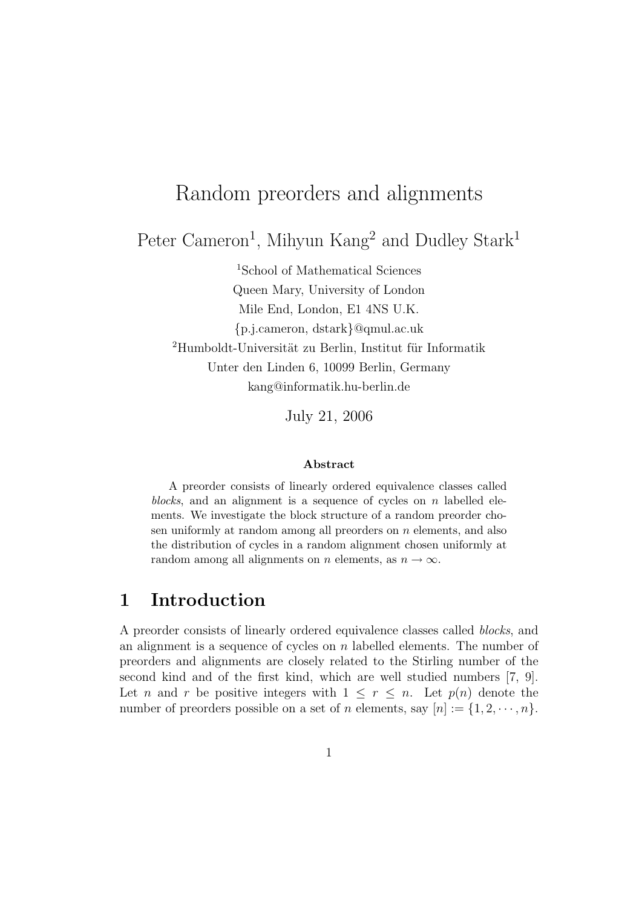# Random preorders and alignments

Peter Cameron<sup>1</sup>, Mihyun Kang<sup>2</sup> and Dudley Stark<sup>1</sup>

<sup>1</sup>School of Mathematical Sciences Queen Mary, University of London Mile End, London, E1 4NS U.K. {p.j.cameron, dstark}@qmul.ac.uk  $2Humboldt-Universität zu Berlin, Institut für Informatik$ Unter den Linden 6, 10099 Berlin, Germany kang@informatik.hu-berlin.de

July 21, 2006

#### Abstract

A preorder consists of linearly ordered equivalence classes called blocks, and an alignment is a sequence of cycles on  $n$  labelled elements. We investigate the block structure of a random preorder chosen uniformly at random among all preorders on n elements, and also the distribution of cycles in a random alignment chosen uniformly at random among all alignments on n elements, as  $n \to \infty$ .

# 1 Introduction

A preorder consists of linearly ordered equivalence classes called blocks, and an alignment is a sequence of cycles on  $n$  labelled elements. The number of preorders and alignments are closely related to the Stirling number of the second kind and of the first kind, which are well studied numbers [7, 9]. Let n and r be positive integers with  $1 \leq r \leq n$ . Let  $p(n)$  denote the number of preorders possible on a set of n elements, say  $[n] := \{1, 2, \dots, n\}.$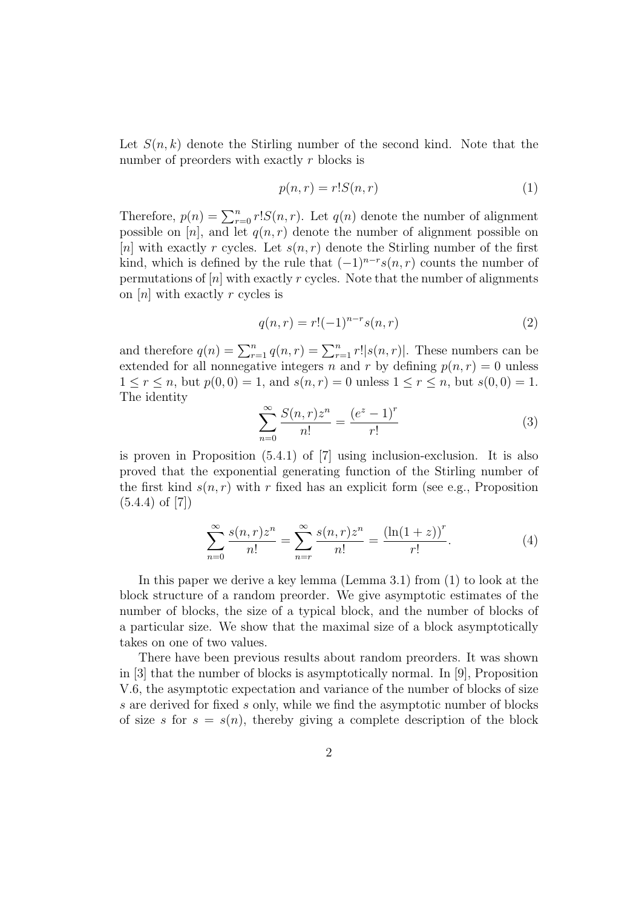Let  $S(n, k)$  denote the Stirling number of the second kind. Note that the number of preorders with exactly r blocks is

$$
p(n,r) = r!S(n,r) \tag{1}
$$

Therefore,  $p(n) = \sum_{r=0}^{n} r! S(n,r)$ . Let  $q(n)$  denote the number of alignment possible on [n], and let  $q(n,r)$  denote the number of alignment possible on [n] with exactly r cycles. Let  $s(n,r)$  denote the Stirling number of the first kind, which is defined by the rule that  $(-1)^{n-r} s(n,r)$  counts the number of permutations of  $[n]$  with exactly r cycles. Note that the number of alignments on  $[n]$  with exactly r cycles is

$$
q(n,r) = r!(-1)^{n-r}s(n,r)
$$
\n(2)

and therefore  $q(n) = \sum_{r=1}^{n} q(n,r) = \sum_{r=1}^{n} r! |s(n,r)|$ . These numbers can be extended for all nonnegative integers n and r by defining  $p(n, r) = 0$  unless  $1 \le r \le n$ , but  $p(0,0) = 1$ , and  $s(n,r) = 0$  unless  $1 \le r \le n$ , but  $s(0,0) = 1$ . The identity

$$
\sum_{n=0}^{\infty} \frac{S(n,r)z^n}{n!} = \frac{(e^z - 1)^r}{r!}
$$
 (3)

is proven in Proposition  $(5.4.1)$  of  $[7]$  using inclusion-exclusion. It is also proved that the exponential generating function of the Stirling number of the first kind  $s(n, r)$  with r fixed has an explicit form (see e.g., Proposition  $(5.4.4)$  of  $[7]$ 

$$
\sum_{n=0}^{\infty} \frac{s(n,r)z^n}{n!} = \sum_{n=r}^{\infty} \frac{s(n,r)z^n}{n!} = \frac{(\ln(1+z))^r}{r!}.
$$
 (4)

In this paper we derive a key lemma (Lemma 3.1) from (1) to look at the block structure of a random preorder. We give asymptotic estimates of the number of blocks, the size of a typical block, and the number of blocks of a particular size. We show that the maximal size of a block asymptotically takes on one of two values.

There have been previous results about random preorders. It was shown in [3] that the number of blocks is asymptotically normal. In [9], Proposition V.6, the asymptotic expectation and variance of the number of blocks of size s are derived for fixed s only, while we find the asymptotic number of blocks of size s for  $s = s(n)$ , thereby giving a complete description of the block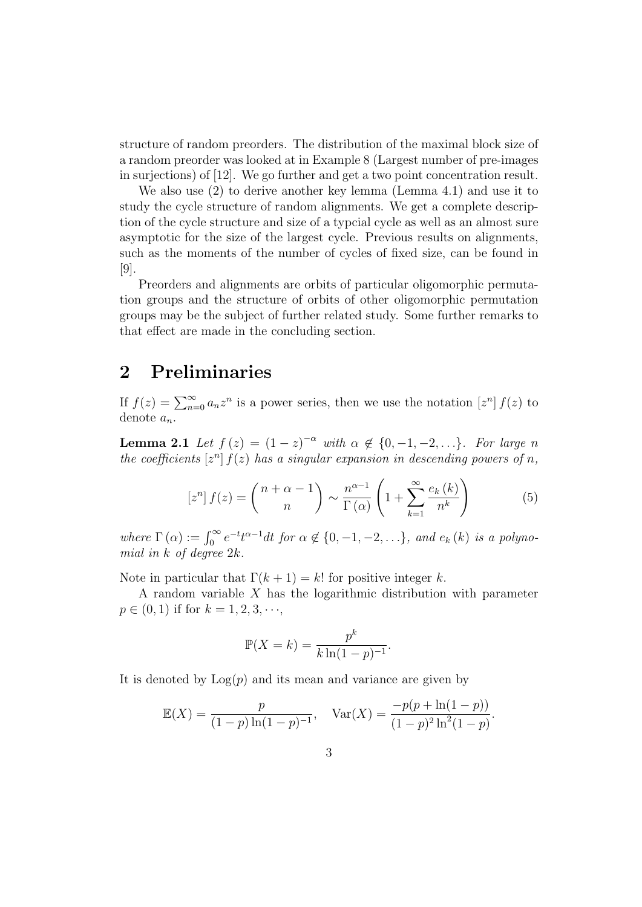structure of random preorders. The distribution of the maximal block size of a random preorder was looked at in Example 8 (Largest number of pre-images in surjections) of [12]. We go further and get a two point concentration result.

We also use (2) to derive another key lemma (Lemma 4.1) and use it to study the cycle structure of random alignments. We get a complete description of the cycle structure and size of a typcial cycle as well as an almost sure asymptotic for the size of the largest cycle. Previous results on alignments, such as the moments of the number of cycles of fixed size, can be found in [9].

Preorders and alignments are orbits of particular oligomorphic permutation groups and the structure of orbits of other oligomorphic permutation groups may be the subject of further related study. Some further remarks to that effect are made in the concluding section.

### 2 Preliminaries

If  $f(z) = \sum_{n=0}^{\infty} a_n z^n$  is a power series, then we use the notation  $[z^n] f(z)$  to denote  $a_n$ .

**Lemma 2.1** Let  $f(z) = (1-z)^{-\alpha}$  with  $\alpha \notin \{0, -1, -2, \ldots\}$ . For large n the coefficients  $[z^n] f(z)$  has a singular expansion in descending powers of n,

$$
\left[z^{n}\right]f(z) = \binom{n+\alpha-1}{n} \sim \frac{n^{\alpha-1}}{\Gamma(\alpha)} \left(1 + \sum_{k=1}^{\infty} \frac{e_{k}(k)}{n^{k}}\right) \tag{5}
$$

where  $\Gamma(\alpha) := \int_0^\infty e^{-t} t^{\alpha-1} dt$  for  $\alpha \notin \{0, -1, -2, \ldots\}$ , and  $e_k(k)$  is a polynomial in  $k$  of degree  $2k$ .

Note in particular that  $\Gamma(k+1) = k!$  for positive integer k.

A random variable  $X$  has the logarithmic distribution with parameter  $p \in (0, 1)$  if for  $k = 1, 2, 3, \dots$ ,

$$
\mathbb{P}(X = k) = \frac{p^k}{k \ln(1 - p)^{-1}}.
$$

It is denoted by  $Log(p)$  and its mean and variance are given by

$$
\mathbb{E}(X) = \frac{p}{(1-p)\ln(1-p)^{-1}}, \quad \text{Var}(X) = \frac{-p(p+\ln(1-p))}{(1-p)^2\ln^2(1-p)}.
$$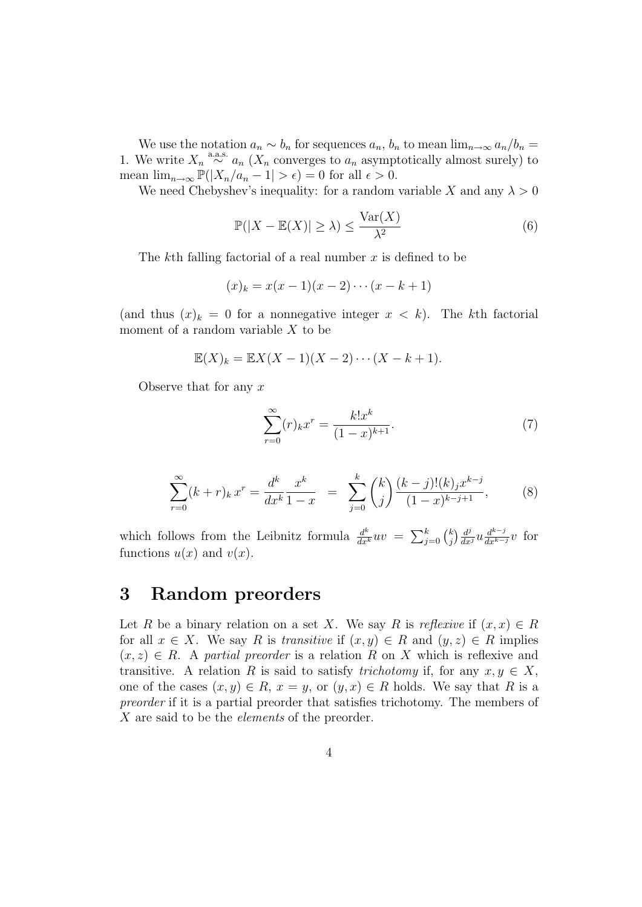We use the notation  $a_n \sim b_n$  for sequences  $a_n, b_n$  to mean  $\lim_{n\to\infty} a_n/b_n =$ 1. We write  $X_n \stackrel{\text{a.a.s.}}{\sim} a_n (X_n)$  converges to  $a_n$  asymptotically almost surely) to mean  $\lim_{n\to\infty} \mathbb{P}(|X_n/a_n-1|>\epsilon) = 0$  for all  $\epsilon > 0$ .

We need Chebyshev's inequality: for a random variable X and any  $\lambda > 0$ 

$$
\mathbb{P}(|X - \mathbb{E}(X)| \ge \lambda) \le \frac{\text{Var}(X)}{\lambda^2} \tag{6}
$$

The kth falling factorial of a real number  $x$  is defined to be

$$
(x)_k = x(x-1)(x-2)\cdots(x-k+1)
$$

(and thus  $(x)_k = 0$  for a nonnegative integer  $x < k$ ). The kth factorial moment of a random variable  $X$  to be

$$
\mathbb{E}(X)_k = \mathbb{E}X(X-1)(X-2)\cdots(X-k+1).
$$

Observe that for any  $x$ 

$$
\sum_{r=0}^{\infty} (r)_k x^r = \frac{k! x^k}{(1-x)^{k+1}}.
$$
 (7)

$$
\sum_{r=0}^{\infty} (k+r)_k x^r = \frac{d^k}{dx^k} \frac{x^k}{1-x} = \sum_{j=0}^k {k \choose j} \frac{(k-j)!(k)_j x^{k-j}}{(1-x)^{k-j+1}},
$$
(8)

which follows from the Leibnitz formula  $\frac{d^k}{dx^k}uv = \sum_{j=0}^k {k \choose j}$  $\int_{j}^{k} \int \frac{d^{j}}{dx^{j}} u \frac{d^{k-j}}{dx^{k-j}} v$  for functions  $u(x)$  and  $v(x)$ .

### 3 Random preorders

Let R be a binary relation on a set X. We say R is reflexive if  $(x, x) \in R$ for all  $x \in X$ . We say R is transitive if  $(x, y) \in R$  and  $(y, z) \in R$  implies  $(x, z) \in R$ . A partial preorder is a relation R on X which is reflexive and transitive. A relation R is said to satisfy *trichotomy* if, for any  $x, y \in X$ , one of the cases  $(x, y) \in R$ ,  $x = y$ , or  $(y, x) \in R$  holds. We say that R is a preorder if it is a partial preorder that satisfies trichotomy. The members of X are said to be the *elements* of the preorder.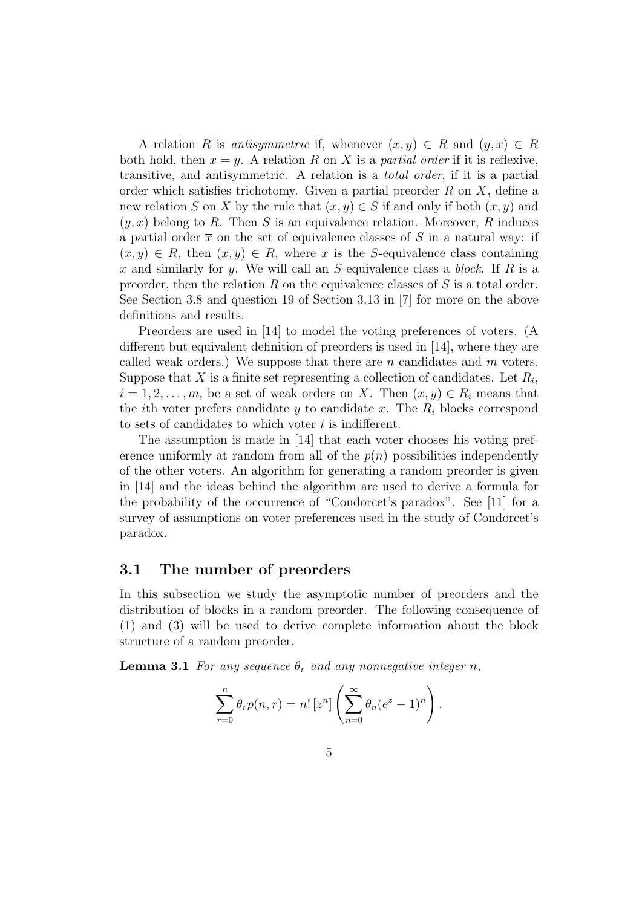A relation R is antisymmetric if, whenever  $(x, y) \in R$  and  $(y, x) \in R$ both hold, then  $x = y$ . A relation R on X is a *partial order* if it is reflexive, transitive, and antisymmetric. A relation is a total order, if it is a partial order which satisfies trichotomy. Given a partial preorder  $R$  on  $X$ , define a new relation S on X by the rule that  $(x, y) \in S$  if and only if both  $(x, y)$  and  $(y, x)$  belong to R. Then S is an equivalence relation. Moreover, R induces a partial order  $\bar{x}$  on the set of equivalence classes of S in a natural way: if  $(x, y) \in R$ , then  $(\overline{x}, \overline{y}) \in \overline{R}$ , where  $\overline{x}$  is the S-equivalence class containing x and similarly for y. We will call an S-equivalence class a block. If R is a preorder, then the relation  $\overline{R}$  on the equivalence classes of S is a total order. See Section 3.8 and question 19 of Section 3.13 in [7] for more on the above definitions and results.

Preorders are used in [14] to model the voting preferences of voters. (A different but equivalent definition of preorders is used in [14], where they are called weak orders.) We suppose that there are n candidates and  $m$  voters. Suppose that X is a finite set representing a collection of candidates. Let  $R_i$ ,  $i = 1, 2, \ldots, m$ , be a set of weak orders on X. Then  $(x, y) \in R_i$  means that the *i*th voter prefers candidate y to candidate x. The  $R_i$  blocks correspond to sets of candidates to which voter  $i$  is indifferent.

The assumption is made in [14] that each voter chooses his voting preference uniformly at random from all of the  $p(n)$  possibilities independently of the other voters. An algorithm for generating a random preorder is given in [14] and the ideas behind the algorithm are used to derive a formula for the probability of the occurrence of "Condorcet's paradox". See [11] for a survey of assumptions on voter preferences used in the study of Condorcet's paradox.

#### 3.1 The number of preorders

In this subsection we study the asymptotic number of preorders and the distribution of blocks in a random preorder. The following consequence of (1) and (3) will be used to derive complete information about the block structure of a random preorder.

**Lemma 3.1** For any sequence  $\theta_r$  and any nonnegative integer n,

$$
\sum_{r=0}^{n} \theta_r p(n,r) = n! [z^n] \left( \sum_{n=0}^{\infty} \theta_n (e^z - 1)^n \right).
$$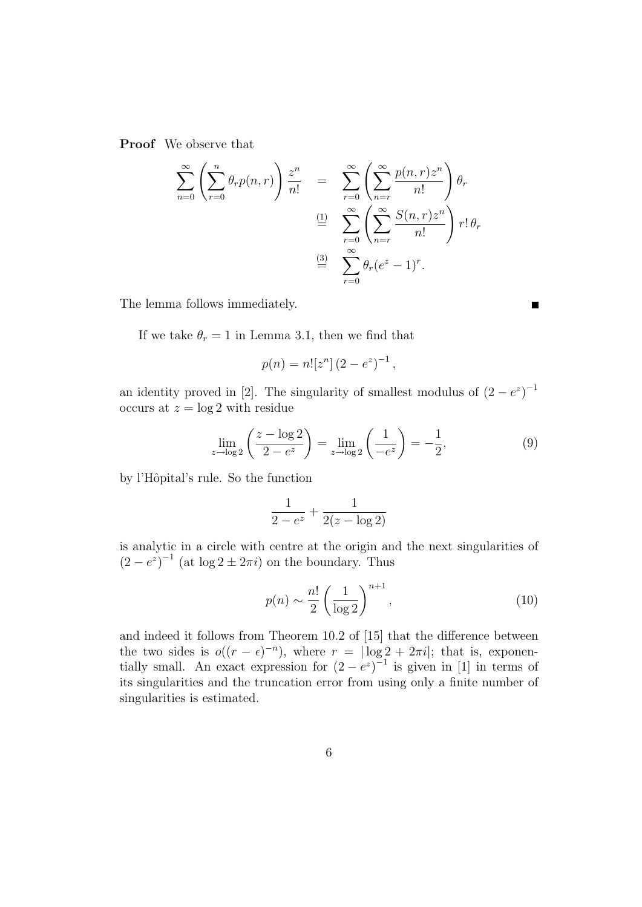Proof We observe that

$$
\sum_{n=0}^{\infty} \left( \sum_{r=0}^{n} \theta_r p(n,r) \right) \frac{z^n}{n!} = \sum_{r=0}^{\infty} \left( \sum_{n=r}^{\infty} \frac{p(n,r)z^n}{n!} \right) \theta_r
$$
  

$$
\stackrel{\text{(1)}}{=} \sum_{r=0}^{\infty} \left( \sum_{n=r}^{\infty} \frac{S(n,r)z^n}{n!} \right) r! \theta_r
$$
  

$$
\stackrel{\text{(3)}}{=} \sum_{r=0}^{\infty} \theta_r (e^z - 1)^r.
$$

The lemma follows immediately.

If we take  $\theta_r = 1$  in Lemma 3.1, then we find that

$$
p(n) = n! [z^n] (2 - e^z)^{-1},
$$

an identity proved in [2]. The singularity of smallest modulus of  $(2-e^z)^{-1}$ occurs at  $z = \log 2$  with residue

$$
\lim_{z \to \log 2} \left( \frac{z - \log 2}{2 - e^z} \right) = \lim_{z \to \log 2} \left( \frac{1}{-e^z} \right) = -\frac{1}{2},\tag{9}
$$

by l'Hôpital's rule. So the function

$$
\frac{1}{2 - e^z} + \frac{1}{2(z - \log 2)}
$$

is analytic in a circle with centre at the origin and the next singularities of  $(2-e^z)^{-1}$  (at  $\log 2 \pm 2\pi i$ ) on the boundary. Thus

$$
p(n) \sim \frac{n!}{2} \left(\frac{1}{\log 2}\right)^{n+1},\tag{10}
$$

and indeed it follows from Theorem 10.2 of [15] that the difference between the two sides is  $o((r - \epsilon)^{-n})$ , where  $r = |\log 2 + 2\pi i|$ ; that is, exponentially small. An exact expression for  $(2-e^z)^{-1}$  is given in [1] in terms of its singularities and the truncation error from using only a finite number of singularities is estimated.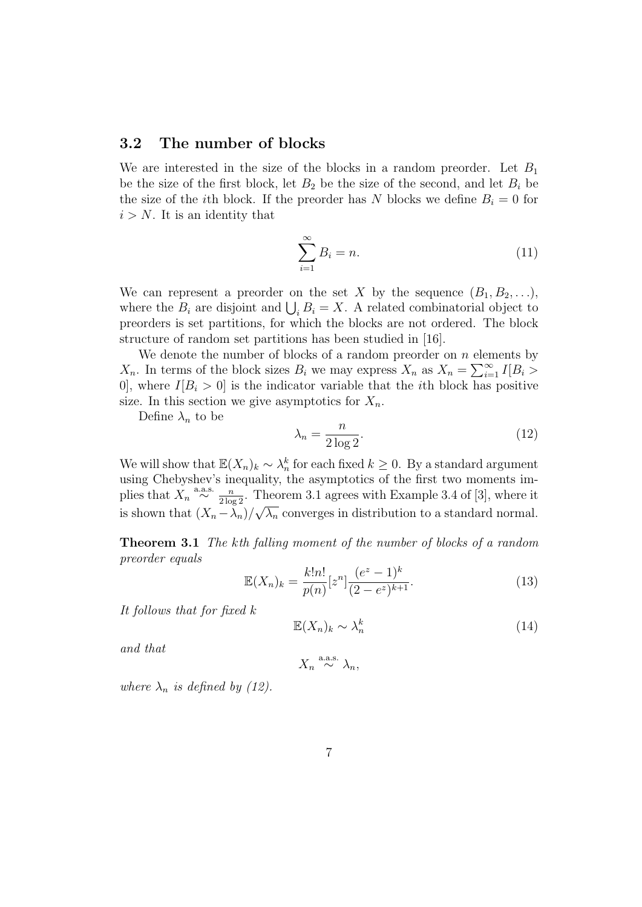#### 3.2 The number of blocks

We are interested in the size of the blocks in a random preorder. Let  $B_1$ be the size of the first block, let  $B_2$  be the size of the second, and let  $B_i$  be the size of the *i*th block. If the preorder has N blocks we define  $B_i = 0$  for  $i > N$ . It is an identity that

$$
\sum_{i=1}^{\infty} B_i = n.
$$
\n(11)

We can represent a preorder on the set X by the sequence  $(B_1, B_2, \ldots),$ where the  $B_i$  are disjoint and  $\bigcup_i B_i = X$ . A related combinatorial object to preorders is set partitions, for which the blocks are not ordered. The block structure of random set partitions has been studied in [16].

We denote the number of blocks of a random preorder on  $n$  elements by  $X_n$ . In terms of the block sizes  $B_i$  we may express  $X_n$  as  $X_n = \sum_{i=1}^{\infty} I[B_i >$ 0, where  $I[B_i > 0]$  is the indicator variable that the *i*th block has positive size. In this section we give asymptotics for  $X_n$ .

Define  $\lambda_n$  to be

$$
\lambda_n = \frac{n}{2\log 2}.\tag{12}
$$

We will show that  $\mathbb{E}(X_n)_k \sim \lambda_n^k$  for each fixed  $k \geq 0$ . By a standard argument using Chebyshev's inequality, the asymptotics of the first two moments implies that  $\overline{X}_n \stackrel{\text{a.a.s.}}{\sim} \frac{n}{2 \log 2}$ . Theorem 3.1 agrees with Example 3.4 of [3], where it is shown that  $(X_n - \lambda_n)/\sqrt{\lambda_n}$  converges in distribution to a standard normal.

Theorem 3.1 The kth falling moment of the number of blocks of a random preorder equals

$$
\mathbb{E}(X_n)_k = \frac{k!n!}{p(n)} [z^n] \frac{(e^z - 1)^k}{(2 - e^z)^{k+1}}.
$$
\n(13)

It follows that for fixed k

$$
\mathbb{E}(X_n)_k \sim \lambda_n^k \tag{14}
$$

and that

$$
X_n \stackrel{\text{a.a.s.}}{\sim} \lambda_n,
$$

where  $\lambda_n$  is defined by (12).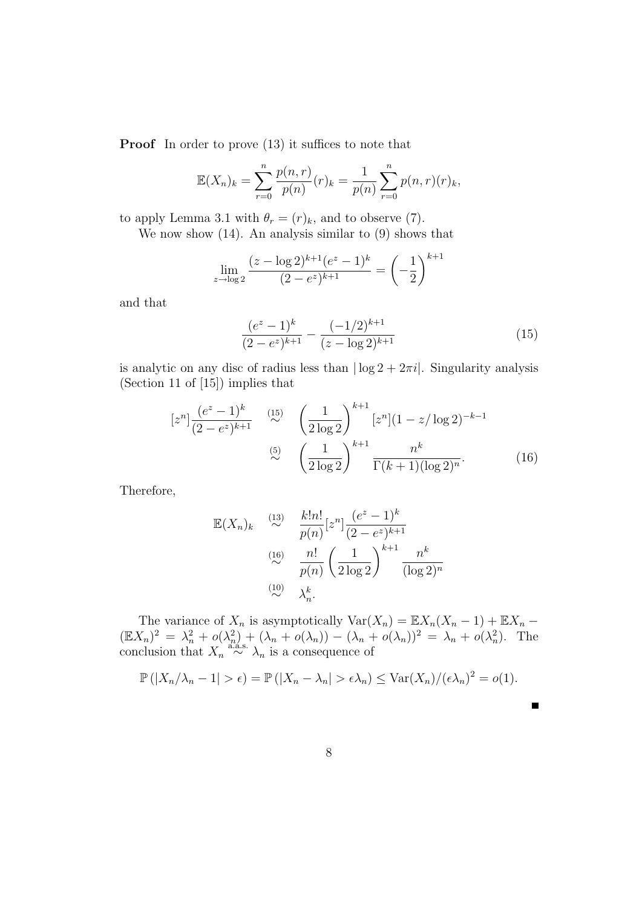**Proof** In order to prove  $(13)$  it suffices to note that

$$
\mathbb{E}(X_n)_k = \sum_{r=0}^n \frac{p(n,r)}{p(n)} (r)_k = \frac{1}{p(n)} \sum_{r=0}^n p(n,r) (r)_k,
$$

to apply Lemma 3.1 with  $\theta_r = (r)_k$ , and to observe (7).

We now show (14). An analysis similar to (9) shows that

$$
\lim_{z \to \log 2} \frac{(z - \log 2)^{k+1} (e^z - 1)^k}{(2 - e^z)^{k+1}} = \left(-\frac{1}{2}\right)^{k+1}
$$

and that

$$
\frac{(e^z - 1)^k}{(2 - e^z)^{k+1}} - \frac{(-1/2)^{k+1}}{(z - \log 2)^{k+1}}\tag{15}
$$

is analytic on any disc of radius less than  $|\log 2 + 2\pi i|$ . Singularity analysis (Section 11 of [15]) implies that

$$
[z^n] \frac{(e^z - 1)^k}{(2 - e^z)^{k+1}} \stackrel{(15)}{\sim} \left(\frac{1}{2\log 2}\right)^{k+1} [z^n] (1 - z/\log 2)^{-k-1}
$$
  

$$
\stackrel{(5)}{\sim} \left(\frac{1}{2\log 2}\right)^{k+1} \frac{n^k}{\Gamma(k+1)(\log 2)^n}.
$$
 (16)

Therefore,

$$
\mathbb{E}(X_n)_k \stackrel{(13)}{\sim} \frac{k!n!}{p(n)} [z^n] \frac{(e^z - 1)^k}{(2 - e^z)^{k+1}}
$$
\n
$$
\stackrel{(16)}{\sim} \frac{n!}{p(n)} \left(\frac{1}{2 \log 2}\right)^{k+1} \frac{n^k}{(\log 2)^n}
$$
\n
$$
\stackrel{(10)}{\sim} \lambda_n^k.
$$

The variance of  $X_n$  is asymptotically  $Var(X_n) = \mathbb{E}X_n(X_n - 1) + \mathbb{E}X_n$  $(\mathbb{E}X_n)^2 = \lambda_n^2 + o(\lambda_n^2) + (\lambda_n + o(\lambda_n)) - (\lambda_n + o(\lambda_n))^2 = \lambda_n + o(\lambda_n^2)$ . The conclusion that  $X_n \stackrel{a.s.}{\sim} \lambda_n$  is a consequence of

$$
\mathbb{P}(|X_n/\lambda_n-1|>\epsilon)=\mathbb{P}(|X_n-\lambda_n|>\epsilon\lambda_n)\leq \text{Var}(X_n)/(\epsilon\lambda_n)^2=o(1).
$$

 $\blacksquare$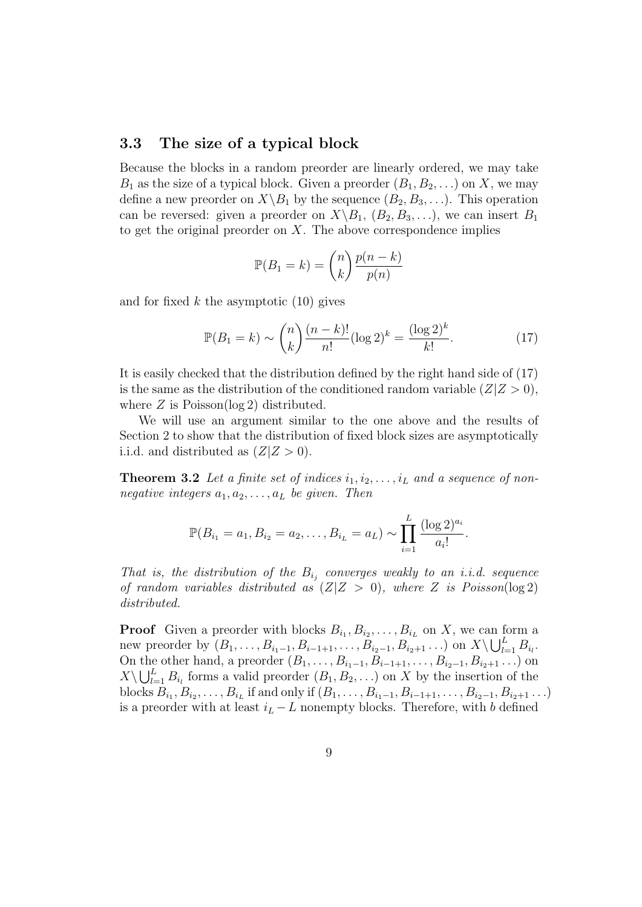#### 3.3 The size of a typical block

Because the blocks in a random preorder are linearly ordered, we may take  $B_1$  as the size of a typical block. Given a preorder  $(B_1, B_2, \ldots)$  on X, we may define a new preorder on  $X \backslash B_1$  by the sequence  $(B_2, B_3, \ldots)$ . This operation can be reversed: given a preorder on  $X \setminus B_1$ ,  $(B_2, B_3, \ldots)$ , we can insert  $B_1$ to get the original preorder on  $X$ . The above correspondence implies

$$
\mathbb{P}(B_1 = k) = \binom{n}{k} \frac{p(n-k)}{p(n)}
$$

and for fixed k the asymptotic  $(10)$  gives

$$
\mathbb{P}(B_1 = k) \sim {n \choose k} \frac{(n-k)!}{n!} (\log 2)^k = \frac{(\log 2)^k}{k!}.
$$
 (17)

It is easily checked that the distribution defined by the right hand side of (17) is the same as the distribution of the conditioned random variable  $(Z|Z > 0)$ , where  $Z$  is Poisson( $\log 2$ ) distributed.

We will use an argument similar to the one above and the results of Section 2 to show that the distribution of fixed block sizes are asymptotically i.i.d. and distributed as  $(Z|Z>0)$ .

**Theorem 3.2** Let a finite set of indices  $i_1, i_2, \ldots, i_L$  and a sequence of nonnegative integers  $a_1, a_2, \ldots, a_L$  be given. Then

$$
\mathbb{P}(B_{i_1} = a_1, B_{i_2} = a_2, \dots, B_{i_L} = a_L) \sim \prod_{i=1}^{L} \frac{(\log 2)^{a_i}}{a_i!}.
$$

That is, the distribution of the  $B_{i_j}$  converges weakly to an i.i.d. sequence of random variables distributed as  $(Z|Z > 0)$ , where Z is Poisson(log 2) distributed.

**Proof** Given a preorder with blocks  $B_{i_1}, B_{i_2}, \ldots, B_{i_L}$  on X, we can form a new preorder by  $(B_1, ..., B_{i_1-1}, B_{i-1+1}, ..., B_{i_2-1}, B_{i_2+1} ...)$  on  $X \setminus \bigcup_{l=1}^L B_{i_l}$ . On the other hand, a preorder  $(B_1, ..., B_{i_1-1}, B_{i-1+1}, ..., B_{i_2-1}, B_{i_2+1}...)$  on  $X\setminus\bigcup_{l=1}^L B_{i_l}$  forms a valid preorder  $(B_1, B_2, \ldots)$  on X by the insertion of the blocks  $B_{i_1}, B_{i_2}, \ldots, B_{i_L}$  if and only if  $(B_1, \ldots, B_{i_1-1}, B_{i-1+1}, \ldots, B_{i_2-1}, B_{i_2+1} \ldots)$ is a preorder with at least  $i_L - L$  nonempty blocks. Therefore, with b defined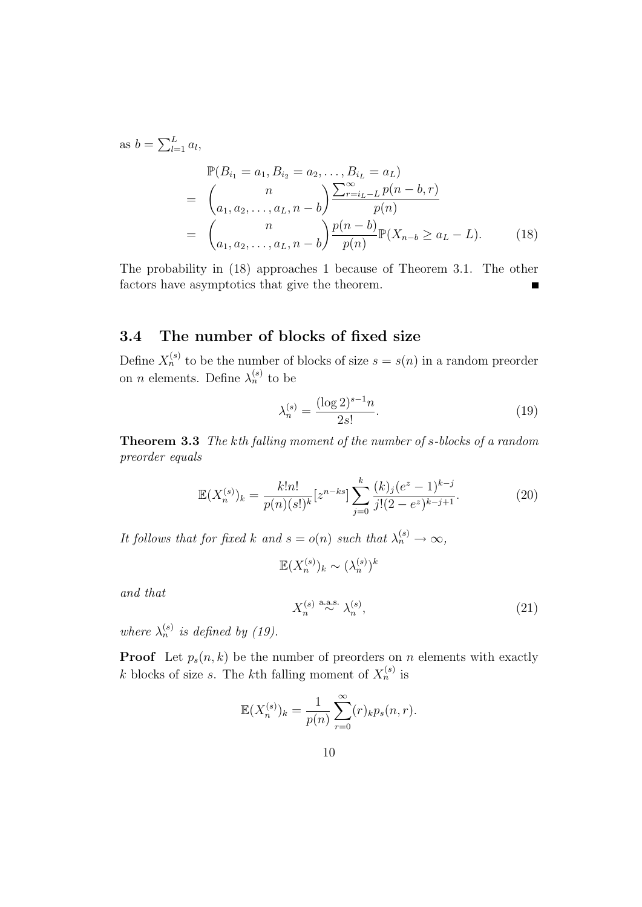as 
$$
b = \sum_{l=1}^{L} a_l
$$
,  
\n
$$
\mathbb{P}(B_{i_1} = a_1, B_{i_2} = a_2, ..., B_{i_L} = a_L)
$$
\n
$$
= \begin{pmatrix} n \\ a_1, a_2, ..., a_L, n-b \end{pmatrix} \frac{\sum_{r=i_L - L}^{\infty} p(n - b, r)}{p(n)}
$$
\n
$$
= \begin{pmatrix} n \\ a_1, a_2, ..., a_L, n-b \end{pmatrix} \frac{p(n - b)}{p(n)} \mathbb{P}(X_{n-b} \ge a_L - L). \tag{18}
$$

The probability in (18) approaches 1 because of Theorem 3.1. The other factors have asymptotics that give the theorem.

### 3.4 The number of blocks of fixed size

Define  $X_n^{(s)}$  to be the number of blocks of size  $s = s(n)$  in a random preorder on *n* elements. Define  $\lambda_n^{(s)}$  to be

$$
\lambda_n^{(s)} = \frac{(\log 2)^{s-1} n}{2s!}.
$$
\n(19)

Theorem 3.3 The kth falling moment of the number of s-blocks of a random preorder equals

$$
\mathbb{E}(X_n^{(s)})_k = \frac{k!n!}{p(n)(s!)^k} [z^{n-ks}] \sum_{j=0}^k \frac{(k)_j (e^z - 1)^{k-j}}{j!(2 - e^z)^{k-j+1}}.
$$
 (20)

It follows that for fixed k and  $s = o(n)$  such that  $\lambda_n^{(s)} \to \infty$ ,

$$
\mathbb{E}(X_n^{(s)})_k \sim (\lambda_n^{(s)})^k
$$

and that

$$
X_n^{(s)} \stackrel{\text{a.a.s.}}{\sim} \lambda_n^{(s)},\tag{21}
$$

where  $\lambda_n^{(s)}$  is defined by (19).

**Proof** Let  $p_s(n, k)$  be the number of preorders on n elements with exactly k blocks of size s. The kth falling moment of  $X_n^{(s)}$  is

$$
\mathbb{E}(X_n^{(s)})_k = \frac{1}{p(n)} \sum_{r=0}^{\infty} (r)_k p_s(n,r).
$$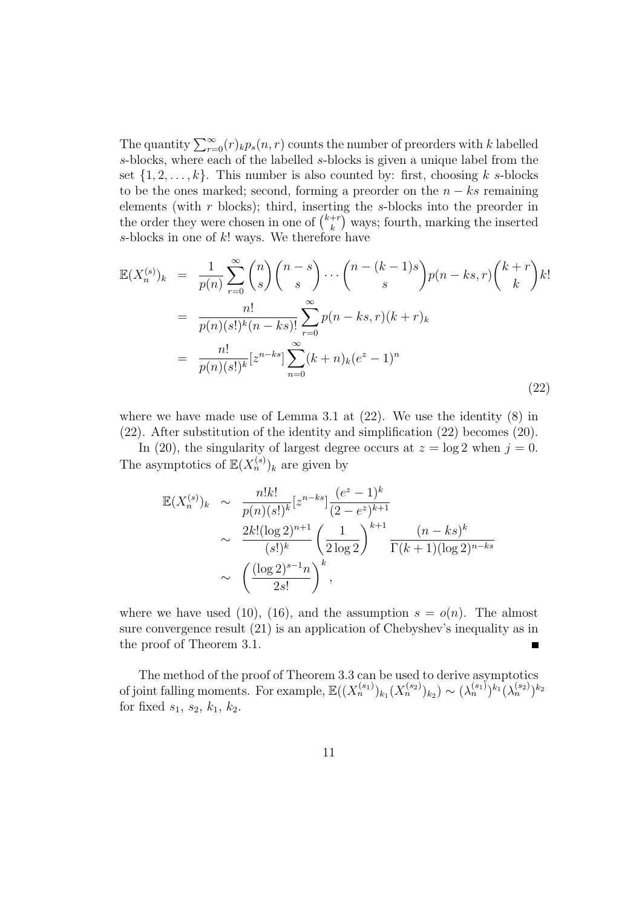The quantity  $\sum_{r=0}^{\infty} (r)_{k} p_s(n,r)$  counts the number of preorders with k labelled s-blocks, where each of the labelled s-blocks is given a unique label from the set  $\{1, 2, \ldots, k\}$ . This number is also counted by: first, choosing k s-blocks to be the ones marked; second, forming a preorder on the  $n - ks$  remaining elements (with  $r$  blocks); third, inserting the  $s$ -blocks into the preorder in the order they were chosen in one of  $\binom{k+r}{k}$  $\binom{+r}{k}$  ways; fourth, marking the inserted s-blocks in one of  $k!$  ways. We therefore have

$$
\mathbb{E}(X_n^{(s)})_k = \frac{1}{p(n)} \sum_{r=0}^{\infty} {n \choose s} {n-s \choose s} \cdots {n-(k-1)s \choose s} p(n-ks,r) {k+r \choose k} k!
$$
  

$$
= \frac{n!}{p(n)(s!)^k (n-ks)!} \sum_{r=0}^{\infty} p(n-ks,r)(k+r)_k
$$
  

$$
= \frac{n!}{p(n)(s!)^k} [z^{n-ks}] \sum_{n=0}^{\infty} (k+n)_k (e^z - 1)^n
$$
 (22)

where we have made use of Lemma 3.1 at  $(22)$ . We use the identity  $(8)$  in (22). After substitution of the identity and simplification (22) becomes (20).

In (20), the singularity of largest degree occurs at  $z = \log 2$  when  $j = 0$ . The asymptotics of  $\mathbb{E}(X_n^{(s)})_k$  are given by

$$
\mathbb{E}(X_n^{(s)})_k \sim \frac{n!k!}{p(n)(s!)^k} [z^{n-ks}] \frac{(e^z - 1)^k}{(2 - e^z)^{k+1}}
$$
  
 
$$
\sim \frac{2k!(\log 2)^{n+1}}{(s!)^k} \left(\frac{1}{2\log 2}\right)^{k+1} \frac{(n - ks)^k}{\Gamma(k+1)(\log 2)^{n-ks}}
$$
  
 
$$
\sim \left(\frac{(\log 2)^{s-1}n}{2s!}\right)^k,
$$

where we have used (10), (16), and the assumption  $s = o(n)$ . The almost sure convergence result (21) is an application of Chebyshev's inequality as in the proof of Theorem 3.1.

The method of the proof of Theorem 3.3 can be used to derive asymptotics of joint falling moments. For example,  $\mathbb{E}((X_n^{(s_1)})_{k_1}(X_n^{(s_2)})_{k_2}) \sim (\lambda_n^{(s_1)})^{k_1}(\lambda_n^{(s_2)})^{k_2}$ for fixed  $s_1, s_2, k_1, k_2$ .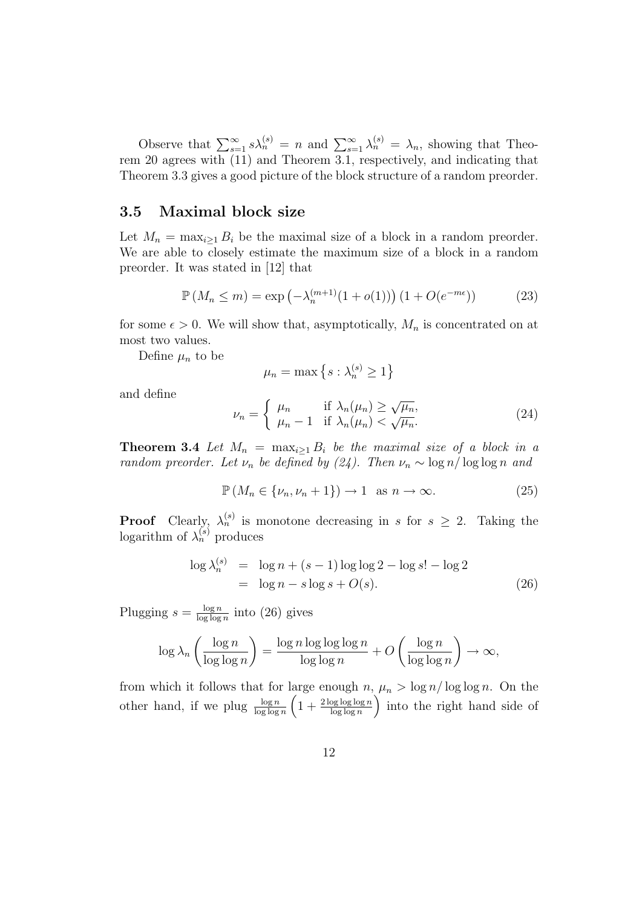Observe that  $\sum_{s=1}^{\infty} s \lambda_n^{(s)} = n$  and  $\sum_{s=1}^{\infty} \lambda_n^{(s)} = \lambda_n$ , showing that Theorem 20 agrees with (11) and Theorem 3.1, respectively, and indicating that Theorem 3.3 gives a good picture of the block structure of a random preorder.

#### 3.5 Maximal block size

Let  $M_n = \max_{i>1} B_i$  be the maximal size of a block in a random preorder. We are able to closely estimate the maximum size of a block in a random preorder. It was stated in [12] that

$$
\mathbb{P}\left(M_n \le m\right) = \exp\left(-\lambda_n^{(m+1)}(1 + o(1))\right)(1 + O(e^{-m\epsilon}))\tag{23}
$$

for some  $\epsilon > 0$ . We will show that, asymptotically,  $M_n$  is concentrated on at most two values.

Define  $\mu_n$  to be

$$
\mu_n = \max\left\{s : \lambda_n^{(s)} \ge 1\right\}
$$

and define

$$
\nu_n = \begin{cases} \mu_n & \text{if } \lambda_n(\mu_n) \ge \sqrt{\mu_n}, \\ \mu_n - 1 & \text{if } \lambda_n(\mu_n) < \sqrt{\mu_n}. \end{cases}
$$
 (24)

**Theorem 3.4** Let  $M_n = \max_{i \geq 1} B_i$  be the maximal size of a block in a random preorder. Let  $\nu_n$  be defined by (24). Then  $\nu_n \sim \log n / \log \log n$  and

$$
\mathbb{P}\left(M_n \in \{\nu_n, \nu_n + 1\}\right) \to 1 \quad \text{as } n \to \infty. \tag{25}
$$

**Proof** Clearly,  $\lambda_n^{(s)}$  is monotone decreasing in s for  $s \geq 2$ . Taking the logarithm of  $\lambda_n^{(s)}$  produces

$$
\log \lambda_n^{(s)} = \log n + (s - 1) \log \log 2 - \log s! - \log 2
$$
  
= 
$$
\log n - s \log s + O(s).
$$
 (26)

Plugging  $s = \frac{\log n}{\log \log n}$  $\frac{\log n}{\log \log n}$  into (26) gives

$$
\log \lambda_n \left( \frac{\log n}{\log \log n} \right) = \frac{\log n \log \log \log n}{\log \log n} + O\left( \frac{\log n}{\log \log n} \right) \to \infty,
$$

from which it follows that for large enough  $n, \mu_n > \log n / \log \log n$ . On the other hand, if we plug  $\frac{\log n}{\log \log n} \left(1 + \frac{2 \log \log \log n}{\log \log n}\right)$  into the right hand side of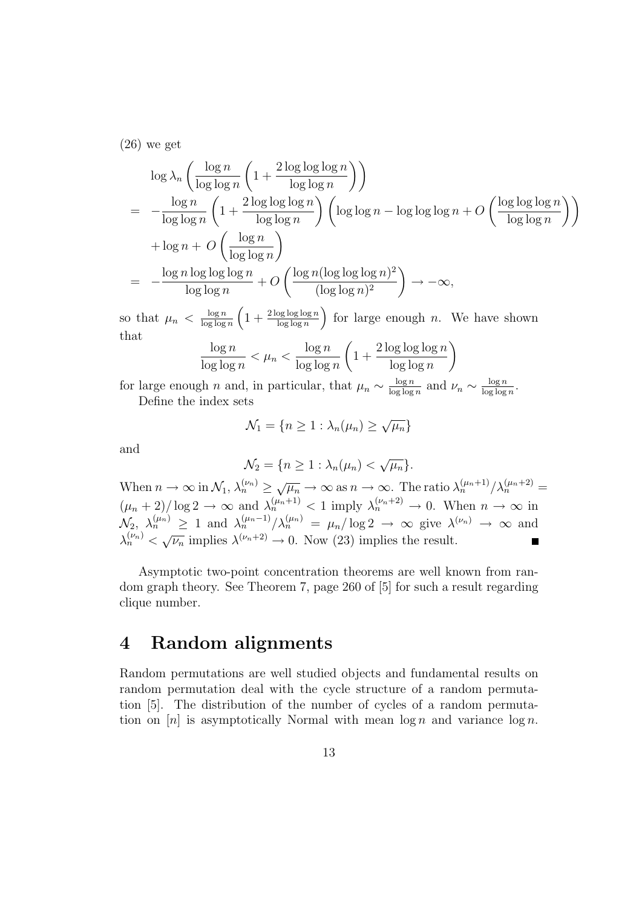(26) we get

$$
\log \lambda_n \left( \frac{\log n}{\log \log n} \left( 1 + \frac{2 \log \log \log n}{\log \log n} \right) \right)
$$
  
= 
$$
-\frac{\log n}{\log \log n} \left( 1 + \frac{2 \log \log \log n}{\log \log n} \right) \left( \log \log n - \log \log \log n + O \left( \frac{\log \log \log n}{\log \log n} \right) \right)
$$
  
+ 
$$
\log n + O \left( \frac{\log n}{\log \log n} \right)
$$
  
= 
$$
-\frac{\log n \log \log \log n}{\log \log n} + O \left( \frac{\log n (\log \log \log n)^2}{(\log \log n)^2} \right) \to -\infty,
$$

so that  $\mu_n < \frac{\log n}{\log \log n}$  $\frac{\log n}{\log \log n}$   $\left(1 + \frac{2 \log \log \log n}{\log \log n}\right)$  for large enough *n*. We have shown that

$$
\frac{\log n}{\log \log n} < \mu_n < \frac{\log n}{\log \log n} \left( 1 + \frac{2 \log \log \log n}{\log \log n} \right)
$$

for large enough n and, in particular, that  $\mu_n \sim \frac{\log n}{\log \log n}$  $\frac{\log n}{\log \log n}$  and  $\nu_n \sim \frac{\log n}{\log \log n}$  $\frac{\log n}{\log \log n}$ .

Define the index sets

$$
\mathcal{N}_1 = \{ n \ge 1 : \lambda_n(\mu_n) \ge \sqrt{\mu_n} \}
$$

and

$$
\mathcal{N}_2 = \{ n \ge 1 : \lambda_n(\mu_n) < \sqrt{\mu_n} \}.
$$

When  $n \to \infty$  in  $\mathcal{N}_1, \lambda_n^{(\nu_n)} \ge \sqrt{\mu_n} \to \infty$  as  $n \to \infty$ . The ratio  $\lambda_n^{(\mu_n+1)}/\lambda_n^{(\mu_n+2)} =$  $(\mu_n + 2)/\log 2 \to \infty$  and  $\lambda_n^{(\mu_n + 1)} < 1$  imply  $\lambda_n^{(\nu_n + 2)} \to 0$ . When  $n \to \infty$  in  $\mathcal{N}_2, \ \lambda_n^{(\mu_n)} \geq 1$  and  $\lambda_n^{(\mu_n-1)}/\lambda_n^{(\mu_n)} = \mu_n/\log 2 \to \infty$  give  $\lambda^{(\nu_n)} \to \infty$  and  $\lambda_n^{(\nu_n)} < \sqrt{\nu_n}$  implies  $\lambda^{(\nu_n+2)} \to 0$ . Now (23) implies the result.

Asymptotic two-point concentration theorems are well known from random graph theory. See Theorem 7, page 260 of [5] for such a result regarding clique number.

## 4 Random alignments

Random permutations are well studied objects and fundamental results on random permutation deal with the cycle structure of a random permutation [5]. The distribution of the number of cycles of a random permutation on  $[n]$  is asymptotically Normal with mean  $\log n$  and variance  $\log n$ .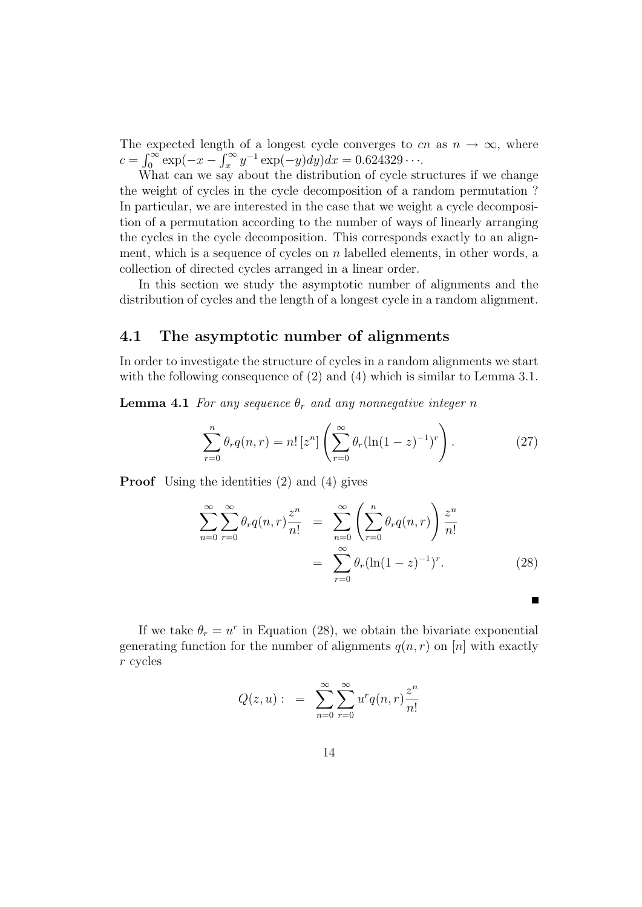The expected length of a longest cycle converges to cn as  $n \to \infty$ , where  $c = \int_0^\infty \exp(-x - \int_x^\infty y^{-1} \exp(-y) dy) dx = 0.624329 \cdots$ 

What can we say about the distribution of cycle structures if we change the weight of cycles in the cycle decomposition of a random permutation ? In particular, we are interested in the case that we weight a cycle decomposition of a permutation according to the number of ways of linearly arranging the cycles in the cycle decomposition. This corresponds exactly to an alignment, which is a sequence of cycles on  $n$  labelled elements, in other words, a collection of directed cycles arranged in a linear order.

In this section we study the asymptotic number of alignments and the distribution of cycles and the length of a longest cycle in a random alignment.

#### 4.1 The asymptotic number of alignments

In order to investigate the structure of cycles in a random alignments we start with the following consequence of  $(2)$  and  $(4)$  which is similar to Lemma 3.1.

**Lemma 4.1** For any sequence  $\theta_r$  and any nonnegative integer n

$$
\sum_{r=0}^{n} \theta_r q(n,r) = n! \left[ z^n \right] \left( \sum_{r=0}^{\infty} \theta_r (\ln(1-z)^{-1})^r \right). \tag{27}
$$

Proof Using the identities (2) and (4) gives

$$
\sum_{n=0}^{\infty} \sum_{r=0}^{\infty} \theta_r q(n,r) \frac{z^n}{n!} = \sum_{n=0}^{\infty} \left( \sum_{r=0}^n \theta_r q(n,r) \right) \frac{z^n}{n!}
$$

$$
= \sum_{r=0}^{\infty} \theta_r (\ln(1-z)^{-1})^r. \tag{28}
$$

If we take  $\theta_r = u^r$  in Equation (28), we obtain the bivariate exponential generating function for the number of alignments  $q(n, r)$  on [n] with exactly r cycles

$$
Q(z, u): = \sum_{n=0}^{\infty} \sum_{r=0}^{\infty} u^r q(n, r) \frac{z^n}{n!}
$$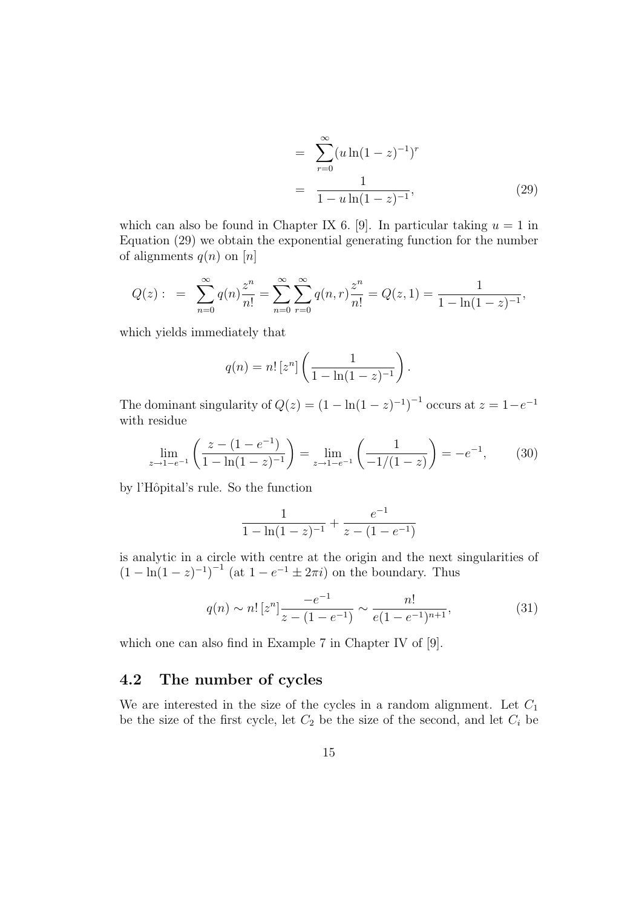$$
= \sum_{r=0}^{\infty} (u \ln(1-z)^{-1})^r
$$
  
= 
$$
\frac{1}{1-u \ln(1-z)^{-1}},
$$
 (29)

which can also be found in Chapter IX 6. [9]. In particular taking  $u = 1$  in Equation (29) we obtain the exponential generating function for the number of alignments  $q(n)$  on  $[n]$ 

$$
Q(z): = \sum_{n=0}^{\infty} q(n) \frac{z^n}{n!} = \sum_{n=0}^{\infty} \sum_{r=0}^{\infty} q(n,r) \frac{z^n}{n!} = Q(z,1) = \frac{1}{1 - \ln(1-z)^{-1}},
$$

which yields immediately that

$$
q(n) = n! [z^n] \left( \frac{1}{1 - \ln(1 - z)^{-1}} \right).
$$

The dominant singularity of  $Q(z) = (1 - \ln(1 - z)^{-1})^{-1}$  occurs at  $z = 1 - e^{-1}$ with residue

$$
\lim_{z \to 1 - e^{-1}} \left( \frac{z - (1 - e^{-1})}{1 - \ln(1 - z)^{-1}} \right) = \lim_{z \to 1 - e^{-1}} \left( \frac{1}{-1/(1 - z)} \right) = -e^{-1},\tag{30}
$$

by l'Hôpital's rule. So the function

$$
\frac{1}{1 - \ln(1 - z)^{-1}} + \frac{e^{-1}}{z - (1 - e^{-1})}
$$

is analytic in a circle with centre at the origin and the next singularities of  $(1 - \ln(1 - z)^{-1})^{-1}$  (at  $1 - e^{-1} \pm 2\pi i$ ) on the boundary. Thus

$$
q(n) \sim n! \left[z^n\right] \frac{-e^{-1}}{z - (1 - e^{-1})} \sim \frac{n!}{e(1 - e^{-1})^{n+1}},\tag{31}
$$

which one can also find in Example 7 in Chapter IV of [9].

### 4.2 The number of cycles

We are interested in the size of the cycles in a random alignment. Let  $C_1$ be the size of the first cycle, let  $C_2$  be the size of the second, and let  $C_i$  be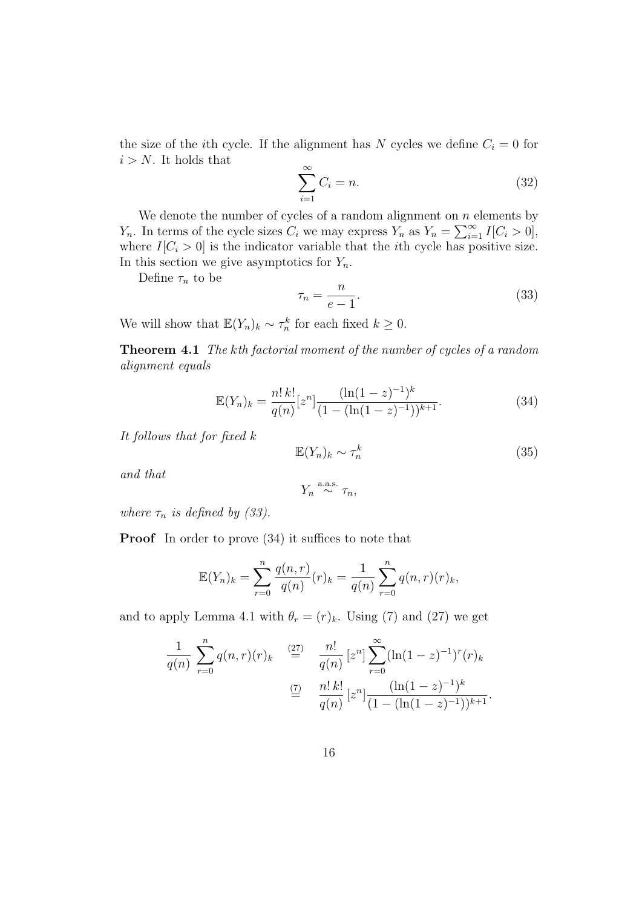the size of the *i*th cycle. If the alignment has N cycles we define  $C_i = 0$  for  $i > N$ . It holds that

$$
\sum_{i=1}^{\infty} C_i = n.
$$
\n(32)

We denote the number of cycles of a random alignment on  $n$  elements by  $Y_n$ . In terms of the cycle sizes  $C_i$  we may express  $Y_n$  as  $Y_n = \sum_{i=1}^{\infty} I[C_i > 0],$ where  $I[C_i > 0]$  is the indicator variable that the *i*th cycle has positive size. In this section we give asymptotics for  $Y_n$ .

Define  $\tau_n$  to be

$$
\tau_n = \frac{n}{e-1}.\tag{33}
$$

We will show that  $\mathbb{E}(Y_n)_k \sim \tau_n^k$  for each fixed  $k \geq 0$ .

Theorem 4.1 The kth factorial moment of the number of cycles of a random alignment equals

$$
\mathbb{E}(Y_n)_k = \frac{n! \, k!}{q(n)} [z^n] \frac{(\ln(1-z)^{-1})^k}{(1 - (\ln(1-z)^{-1}))^{k+1}}.
$$
\n(34)

It follows that for fixed k

$$
\mathbb{E}(Y_n)_k \sim \tau_n^k \tag{35}
$$

and that

$$
Y_n \overset{\text{a.a.s.}}{\sim} \tau_n,
$$

where  $\tau_n$  is defined by (33).

**Proof** In order to prove  $(34)$  it suffices to note that

$$
\mathbb{E}(Y_n)_k = \sum_{r=0}^n \frac{q(n,r)}{q(n)} (r)_k = \frac{1}{q(n)} \sum_{r=0}^n q(n,r) (r)_k,
$$

and to apply Lemma 4.1 with  $\theta_r = (r)_k$ . Using (7) and (27) we get

$$
\frac{1}{q(n)} \sum_{r=0}^{n} q(n,r)(r)_k \stackrel{(27)}{=} \frac{n!}{q(n)} [z^n] \sum_{r=0}^{\infty} (\ln(1-z)^{-1})^r (r)_k
$$

$$
\stackrel{(7)}{=} \frac{n! \, k!}{q(n)} [z^n] \frac{(\ln(1-z)^{-1})^k}{(1 - (\ln(1-z)^{-1}))^{k+1}}.
$$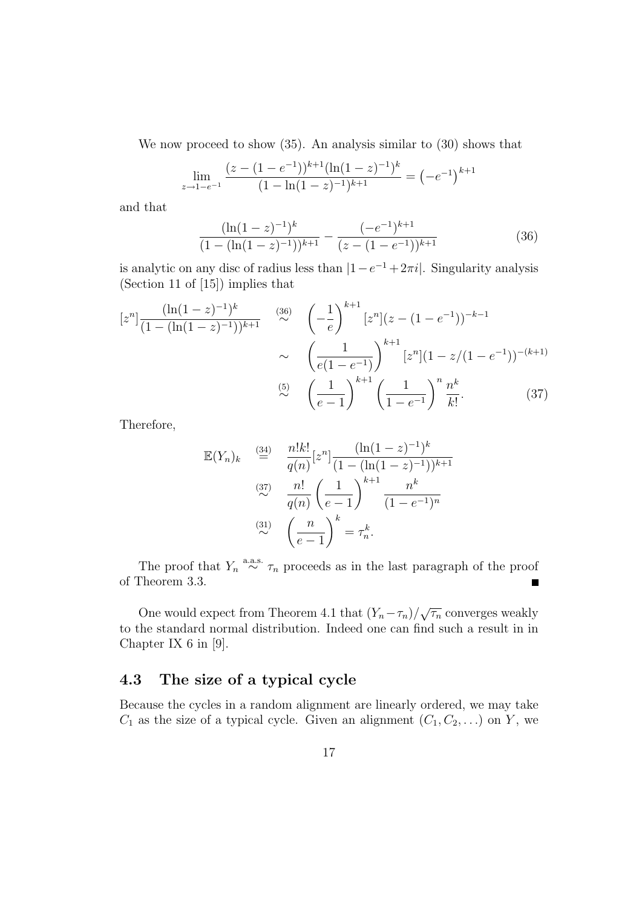We now proceed to show (35). An analysis similar to (30) shows that

$$
\lim_{z \to 1 - e^{-1}} \frac{(z - (1 - e^{-1}))^{k+1} (\ln(1 - z)^{-1})^k}{(1 - \ln(1 - z)^{-1})^{k+1}} = (-e^{-1})^{k+1}
$$

and that

$$
\frac{(\ln(1-z)^{-1})^k}{(1-(\ln(1-z)^{-1}))^{k+1}} - \frac{(-e^{-1})^{k+1}}{(z-(1-e^{-1}))^{k+1}}
$$
(36)

is analytic on any disc of radius less than  $|1-e^{-1}+2\pi i|$ . Singularity analysis (Section 11 of [15]) implies that

$$
[z^n] \frac{(\ln(1-z)^{-1})^k}{(1 - (\ln(1-z)^{-1}))^{k+1}} \approx \left(-\frac{1}{e}\right)^{k+1} [z^n] (z - (1 - e^{-1}))^{-k-1}
$$

$$
\sim \left(\frac{1}{e(1 - e^{-1})}\right)^{k+1} [z^n] (1 - z/(1 - e^{-1}))^{-(k+1)}
$$

$$
\approx \left(\frac{1}{e-1}\right)^{k+1} \left(\frac{1}{1 - e^{-1}}\right)^n \frac{n^k}{k!}.
$$
(37)

Therefore,

$$
\mathbb{E}(Y_n)_k \stackrel{\text{(34)}}{=} \frac{n!k!}{q(n)} [z^n] \frac{(\ln(1-z)^{-1})^k}{(1 - (\ln(1-z)^{-1}))^{k+1}}
$$
\n
$$
\stackrel{\text{(37)}}{\sim} \frac{n!}{q(n)} \left(\frac{1}{e-1}\right)^{k+1} \frac{n^k}{(1 - e^{-1})^n}
$$
\n
$$
\stackrel{\text{(31)}}{\sim} \left(\frac{n}{e-1}\right)^k = \tau_n^k.
$$

The proof that  $Y_n \stackrel{\text{a.a.s.}}{\sim} \tau_n$  proceeds as in the last paragraph of the proof of Theorem 3.3.  $\blacksquare$ 

One would expect from Theorem 4.1 that  $(Y_n - \tau_n)/\sqrt{\tau_n}$  converges weakly to the standard normal distribution. Indeed one can find such a result in in Chapter IX 6 in [9].

### 4.3 The size of a typical cycle

Because the cycles in a random alignment are linearly ordered, we may take  $C_1$  as the size of a typical cycle. Given an alignment  $(C_1, C_2, \ldots)$  on Y, we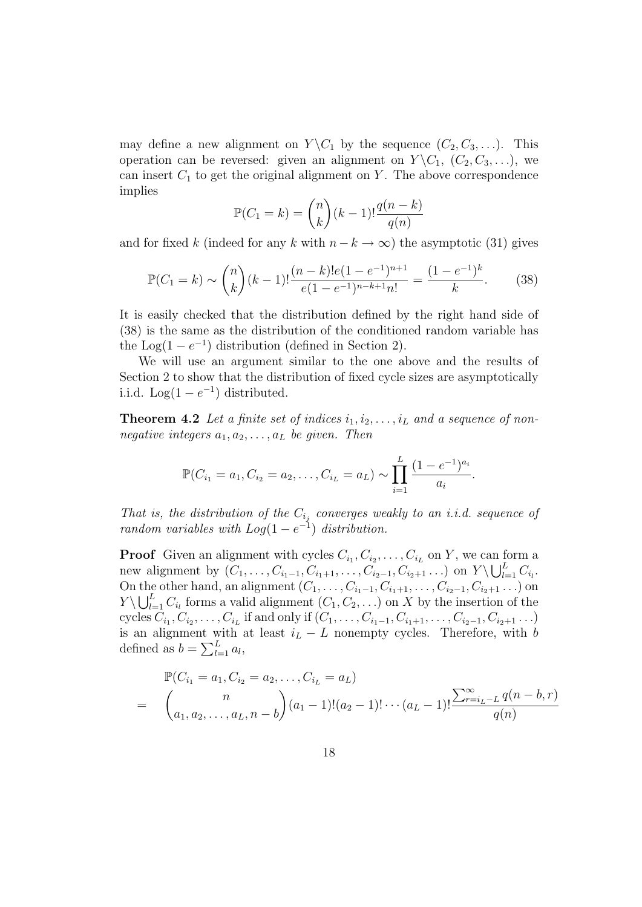may define a new alignment on  $Y \backslash C_1$  by the sequence  $(C_2, C_3, \ldots)$ . This operation can be reversed: given an alignment on  $Y \setminus C_1$ ,  $(C_2, C_3, \ldots)$ , we can insert  $C_1$  to get the original alignment on Y. The above correspondence implies

$$
\mathbb{P}(C_1 = k) = \binom{n}{k} (k-1)! \frac{q(n-k)}{q(n)}
$$

and for fixed k (indeed for any k with  $n - k \to \infty$ ) the asymptotic (31) gives

$$
\mathbb{P}(C_1 = k) \sim {n \choose k} (k-1)! \frac{(n-k)!e(1-e^{-1})^{n+1}}{e(1-e^{-1})^{n-k+1}n!} = \frac{(1-e^{-1})^k}{k}.
$$
 (38)

It is easily checked that the distribution defined by the right hand side of (38) is the same as the distribution of the conditioned random variable has the Log(1 –  $e^{-1}$ ) distribution (defined in Section 2).

We will use an argument similar to the one above and the results of Section 2 to show that the distribution of fixed cycle sizes are asymptotically i.i.d.  $\text{Log}(1-e^{-1})$  distributed.

**Theorem 4.2** Let a finite set of indices  $i_1, i_2, \ldots, i_L$  and a sequence of nonnegative integers  $a_1, a_2, \ldots, a_L$  be given. Then

$$
\mathbb{P}(C_{i_1} = a_1, C_{i_2} = a_2, \dots, C_{i_L} = a_L) \sim \prod_{i=1}^{L} \frac{(1 - e^{-1})^{a_i}}{a_i}.
$$

That is, the distribution of the  $C_{i_j}$  converges weakly to an i.i.d. sequence of random variables with  $Log(1-e^{-1})$  distribution.

**Proof** Given an alignment with cycles  $C_{i_1}, C_{i_2}, \ldots, C_{i_L}$  on Y, we can form a new alignment by  $(C_1, ..., C_{i_1-1}, C_{i_1+1}, ..., C_{i_2-1}, C_{i_2+1} ...)$  on  $Y \setminus \bigcup_{l=1}^{L} C_{i_l}$ . On the other hand, an alignment  $(C_1, ..., C_{i_1-1}, C_{i_1+1}, ..., C_{i_2-1}, C_{i_2+1} ...)$  on  $Y \setminus \bigcup_{l=1}^L C_{i_l}$  forms a valid alignment  $(C_1, C_2, ...)$  on X by the insertion of the cycles  $C_{i_1}, C_{i_2}, \ldots, C_{i_L}$  if and only if  $(C_1, \ldots, C_{i_1-1}, C_{i_1+1}, \ldots, C_{i_2-1}, C_{i_2+1} \ldots)$ is an alignment with at least  $i_L - L$  nonempty cycles. Therefore, with b defined as  $b = \sum_{l=1}^{L} a_l$ ,

$$
\mathbb{P}(C_{i_1} = a_1, C_{i_2} = a_2, \dots, C_{i_L} = a_L)
$$
\n
$$
= \binom{n}{a_1, a_2, \dots, a_L, n-b} (a_1 - 1)!(a_2 - 1)!\cdots(a_L - 1)!\frac{\sum_{r=i_L-L}^{\infty} q(n - b, r)}{q(n)}
$$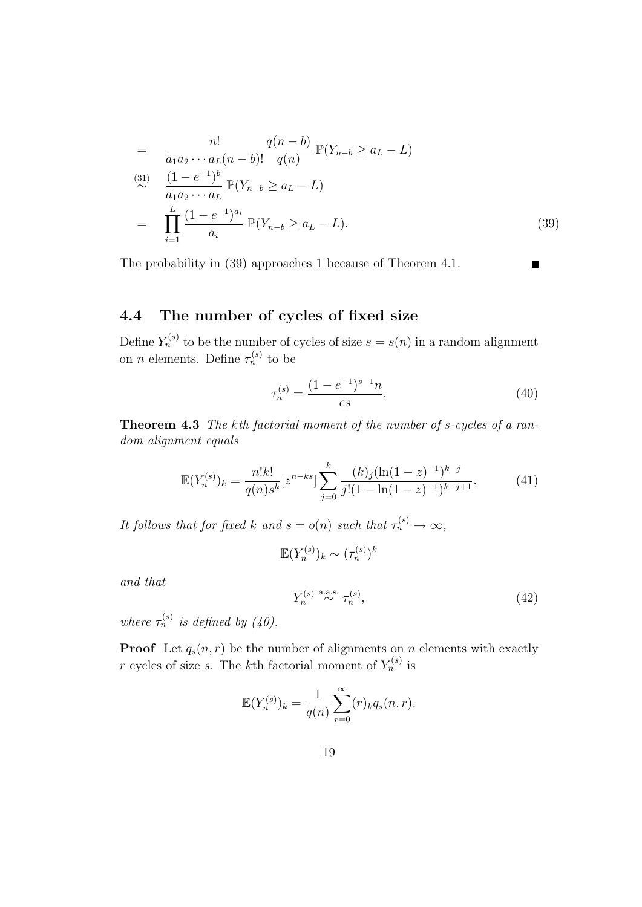$$
= \frac{n!}{a_1 a_2 \cdots a_L (n-b)!} \frac{q(n-b)}{q(n)} \mathbb{P}(Y_{n-b} \ge a_L - L)
$$
  
\n
$$
\stackrel{(31)}{\sim} \frac{(1 - e^{-1})^b}{a_1 a_2 \cdots a_L} \mathbb{P}(Y_{n-b} \ge a_L - L)
$$
  
\n
$$
= \prod_{i=1}^L \frac{(1 - e^{-1})^{a_i}}{a_i} \mathbb{P}(Y_{n-b} \ge a_L - L).
$$
 (39)

The probability in (39) approaches 1 because of Theorem 4.1.

#### $\blacksquare$

### 4.4 The number of cycles of fixed size

Define  $Y_n^{(s)}$  to be the number of cycles of size  $s = s(n)$  in a random alignment on *n* elements. Define  $\tau_n^{(s)}$  to be

$$
\tau_n^{(s)} = \frac{(1 - e^{-1})^{s-1}n}{es}.
$$
\n(40)

Theorem 4.3 The kth factorial moment of the number of s-cycles of a random alignment equals

$$
\mathbb{E}(Y_n^{(s)})_k = \frac{n!k!}{q(n)s^k} [z^{n-ks}] \sum_{j=0}^k \frac{(k)_j (\ln(1-z)^{-1})^{k-j}}{j!(1-\ln(1-z)^{-1})^{k-j+1}}.
$$
(41)

It follows that for fixed k and  $s = o(n)$  such that  $\tau_n^{(s)} \to \infty$ ,

$$
\mathbb{E}(Y_n^{(s)})_k \sim (\tau_n^{(s)})^k
$$

and that

$$
Y_n^{(s)} \stackrel{\text{a.a.s.}}{\sim} \tau_n^{(s)},\tag{42}
$$

where  $\tau_n^{(s)}$  is defined by (40).

**Proof** Let  $q_s(n,r)$  be the number of alignments on n elements with exactly r cycles of size s. The k<sup>th</sup> factorial moment of  $Y_n^{(s)}$  is

$$
\mathbb{E}(Y_n^{(s)})_k = \frac{1}{q(n)} \sum_{r=0}^{\infty} (r)_k q_s(n,r).
$$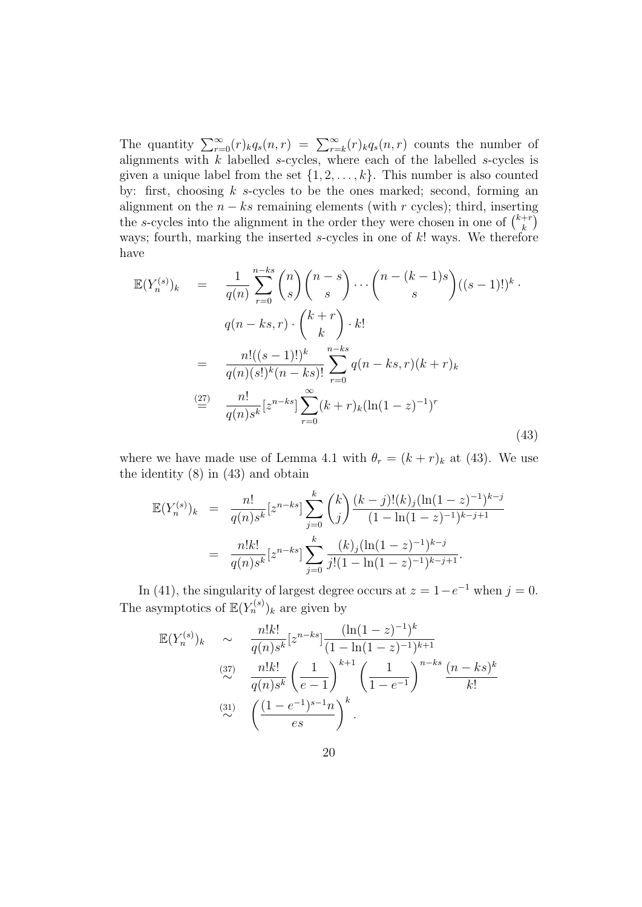The quantity  $\sum_{r=0}^{\infty} (r)_{k}q_{s}(n,r) = \sum_{r=k}^{\infty} (r)_{k}q_{s}(n,r)$  counts the number of alignments with  $k$  labelled s-cycles, where each of the labelled s-cycles is given a unique label from the set  $\{1, 2, \ldots, k\}$ . This number is also counted by: first, choosing  $k$  s-cycles to be the ones marked; second, forming an alignment on the  $n - ks$  remaining elements (with r cycles); third, inserting the s-cycles into the alignment in the order they were chosen in one of  $\binom{k+r}{k}$  $\binom{+r}{k}$ ways; fourth, marking the inserted  $s$ -cycles in one of  $k!$  ways. We therefore have

$$
\mathbb{E}(Y_n^{(s)})_k = \frac{1}{q(n)} \sum_{r=0}^{n-ks} {n \choose s} {n-s \choose s} \cdots {n-(k-1)s \choose s} ((s-1)!)^k
$$
  

$$
q(n-ks,r) \cdot {k+r \choose k} \cdot k!
$$
  

$$
= \frac{n!((s-1)!)^k}{q(n)(s!)^k(n-ks)!} \sum_{r=0}^{n-ks} q(n-ks,r)(k+r)_k
$$
  

$$
\stackrel{(27)}{=} \frac{n!}{q(n)s^k} [z^{n-ks}] \sum_{r=0}^{\infty} (k+r)_k (\ln(1-z)^{-1})^r
$$
 (43)

where we have made use of Lemma 4.1 with  $\theta_r = (k + r)_k$  at (43). We use the identity (8) in (43) and obtain

$$
\mathbb{E}(Y_n^{(s)})_k = \frac{n!}{q(n)s^k} [z^{n-ks}] \sum_{j=0}^k {k \choose j} \frac{(k-j)!(k)_j(\ln(1-z)^{-1})^{k-j}}{(1-\ln(1-z)^{-1})^{k-j+1}}
$$

$$
= \frac{n!k!}{q(n)s^k} [z^{n-ks}] \sum_{j=0}^k \frac{(k)_j(\ln(1-z)^{-1})^{k-j}}{j!(1-\ln(1-z)^{-1})^{k-j+1}}.
$$

In (41), the singularity of largest degree occurs at  $z = 1 - e^{-1}$  when  $j = 0$ . The asymptotics of  $\mathbb{E}(Y_n^{(s)})_k$  are given by

$$
\mathbb{E}(Y_n^{(s)})_k \sim \frac{n!k!}{q(n)s^k} [z^{n-ks}] \frac{(\ln(1-z)^{-1})^k}{(1-\ln(1-z)^{-1})^{k+1}}
$$
  
\n
$$
\stackrel{(37)}{\sim} \frac{n!k!}{q(n)s^k} \left(\frac{1}{e-1}\right)^{k+1} \left(\frac{1}{1-e^{-1}}\right)^{n-ks} \frac{(n-ks)^k}{k!}
$$
  
\n
$$
\stackrel{(31)}{\sim} \left(\frac{(1-e^{-1})^{s-1}n}{es}\right)^k.
$$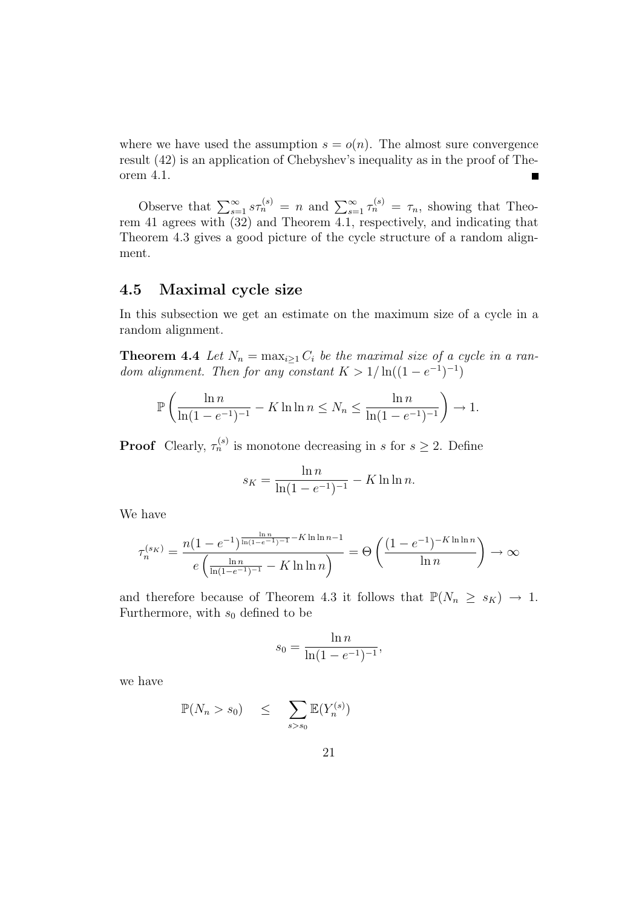where we have used the assumption  $s = o(n)$ . The almost sure convergence result (42) is an application of Chebyshev's inequality as in the proof of Theorem 4.1. ٠

Observe that  $\sum_{s=1}^{\infty} s\tau_n^{(s)} = n$  and  $\sum_{s=1}^{\infty} \tau_n^{(s)} = \tau_n$ , showing that Theorem 41 agrees with (32) and Theorem 4.1, respectively, and indicating that Theorem 4.3 gives a good picture of the cycle structure of a random alignment.

#### 4.5 Maximal cycle size

In this subsection we get an estimate on the maximum size of a cycle in a random alignment.

**Theorem 4.4** Let  $N_n = \max_{i \geq 1} C_i$  be the maximal size of a cycle in a random alignment. Then for any constant  $K > 1/\ln((1-e^{-1})^{-1})$ 

$$
\mathbb{P}\left(\frac{\ln n}{\ln(1-e^{-1})^{-1}} - K \ln \ln n \le N_n \le \frac{\ln n}{\ln(1-e^{-1})^{-1}}\right) \to 1.
$$

**Proof** Clearly,  $\tau_n^{(s)}$  is monotone decreasing in s for  $s \geq 2$ . Define

$$
s_K = \frac{\ln n}{\ln(1 - e^{-1})^{-1}} - K \ln \ln n.
$$

We have

$$
\tau_n^{(s_K)} = \frac{n(1 - e^{-1})^{\frac{\ln n}{\ln(1 - e^{-1}) - 1} - K \ln \ln n - 1}}{e \left( \frac{\ln n}{\ln(1 - e^{-1}) - 1} - K \ln \ln n \right)} = \Theta \left( \frac{(1 - e^{-1})^{-K \ln \ln n}}{\ln n} \right) \to \infty
$$

and therefore because of Theorem 4.3 it follows that  $\mathbb{P}(N_n \geq s_K) \to 1$ . Furthermore, with  $s_0$  defined to be

$$
s_0 = \frac{\ln n}{\ln(1 - e^{-1})^{-1}},
$$

we have

$$
\mathbb{P}(N_n > s_0) \leq \sum_{s>s_0} \mathbb{E}(Y_n^{(s)})
$$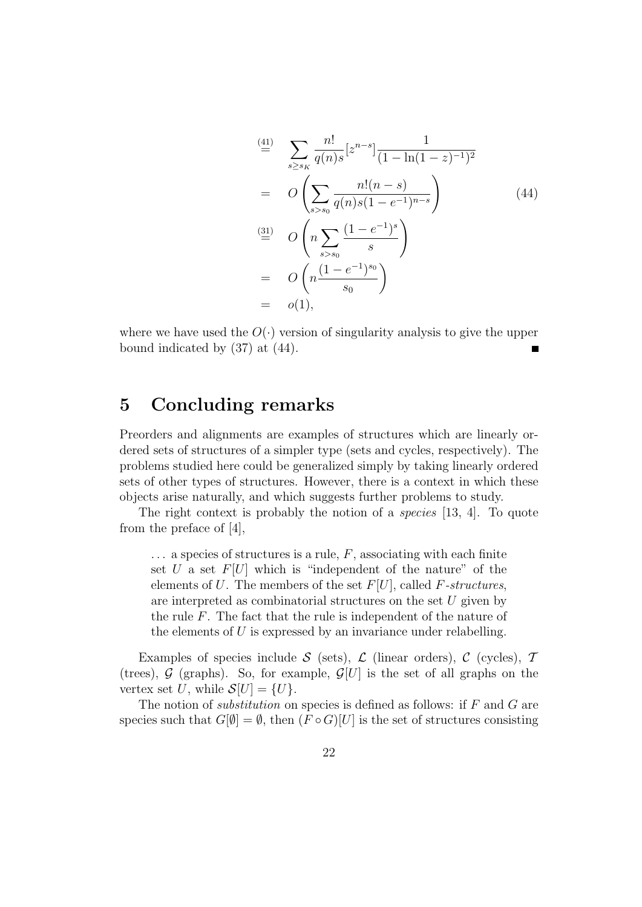$$
\stackrel{\text{(41)}}{=} \sum_{s \ge s_K} \frac{n!}{q(n)s} [z^{n-s}] \frac{1}{(1 - \ln(1 - z)^{-1})^2}
$$
\n
$$
= O\left(\sum_{s > s_0} \frac{n!(n - s)}{q(n)s(1 - e^{-1})^{n-s}}\right)
$$
\n
$$
\stackrel{\text{(31)}}{=} O\left(n \sum_{s > s_0} \frac{(1 - e^{-1})^s}{s}\right)
$$
\n
$$
= O\left(n \frac{(1 - e^{-1})^{s_0}}{s_0}\right)
$$
\n
$$
= o(1), \qquad (41)
$$

where we have used the  $O(\cdot)$  version of singularity analysis to give the upper bound indicated by (37) at (44).

## 5 Concluding remarks

Preorders and alignments are examples of structures which are linearly ordered sets of structures of a simpler type (sets and cycles, respectively). The problems studied here could be generalized simply by taking linearly ordered sets of other types of structures. However, there is a context in which these objects arise naturally, and which suggests further problems to study.

The right context is probably the notion of a species [13, 4]. To quote from the preface of [4],

 $\ldots$  a species of structures is a rule, F, associating with each finite set U a set  $F[U]$  which is "independent of the nature" of the elements of U. The members of the set  $F[U]$ , called F-structures, are interpreted as combinatorial structures on the set  $U$  given by the rule  $F$ . The fact that the rule is independent of the nature of the elements of U is expressed by an invariance under relabelling.

Examples of species include S (sets),  $\mathcal{L}$  (linear orders),  $\mathcal{C}$  (cycles),  $\mathcal{T}$ (trees),  $G$  (graphs). So, for example,  $G[U]$  is the set of all graphs on the vertex set U, while  $\mathcal{S}[U] = \{U\}.$ 

The notion of *substitution* on species is defined as follows: if  $F$  and  $G$  are species such that  $G[\emptyset] = \emptyset$ , then  $(F \circ G)[U]$  is the set of structures consisting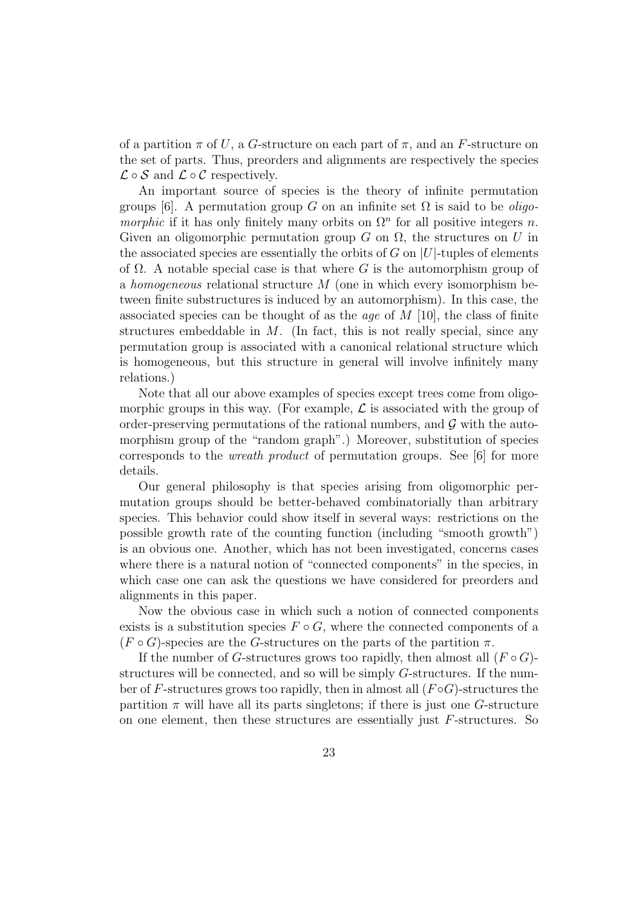of a partition  $\pi$  of U, a G-structure on each part of  $\pi$ , and an F-structure on the set of parts. Thus, preorders and alignments are respectively the species  $\mathcal{L} \circ \mathcal{S}$  and  $\mathcal{L} \circ \mathcal{C}$  respectively.

An important source of species is the theory of infinite permutation groups [6]. A permutation group G on an infinite set  $\Omega$  is said to be *oligo*morphic if it has only finitely many orbits on  $\Omega^n$  for all positive integers n. Given an oligomorphic permutation group G on  $\Omega$ , the structures on U in the associated species are essentially the orbits of G on  $|U|$ -tuples of elements of  $\Omega$ . A notable special case is that where G is the automorphism group of a homogeneous relational structure M (one in which every isomorphism between finite substructures is induced by an automorphism). In this case, the associated species can be thought of as the *age* of  $M$  [10], the class of finite structures embeddable in  $M$ . (In fact, this is not really special, since any permutation group is associated with a canonical relational structure which is homogeneous, but this structure in general will involve infinitely many relations.)

Note that all our above examples of species except trees come from oligomorphic groups in this way. (For example,  $\mathcal L$  is associated with the group of order-preserving permutations of the rational numbers, and  $\mathcal G$  with the automorphism group of the "random graph".) Moreover, substitution of species corresponds to the wreath product of permutation groups. See [6] for more details.

Our general philosophy is that species arising from oligomorphic permutation groups should be better-behaved combinatorially than arbitrary species. This behavior could show itself in several ways: restrictions on the possible growth rate of the counting function (including "smooth growth") is an obvious one. Another, which has not been investigated, concerns cases where there is a natural notion of "connected components" in the species, in which case one can ask the questions we have considered for preorders and alignments in this paper.

Now the obvious case in which such a notion of connected components exists is a substitution species  $F \circ G$ , where the connected components of a  $(F \circ G)$ -species are the G-structures on the parts of the partition  $\pi$ .

If the number of G-structures grows too rapidly, then almost all  $(F \circ G)$ structures will be connected, and so will be simply G-structures. If the number of F-structures grows too rapidly, then in almost all  $(F \circ G)$ -structures the partition  $\pi$  will have all its parts singletons; if there is just one G-structure on one element, then these structures are essentially just F-structures. So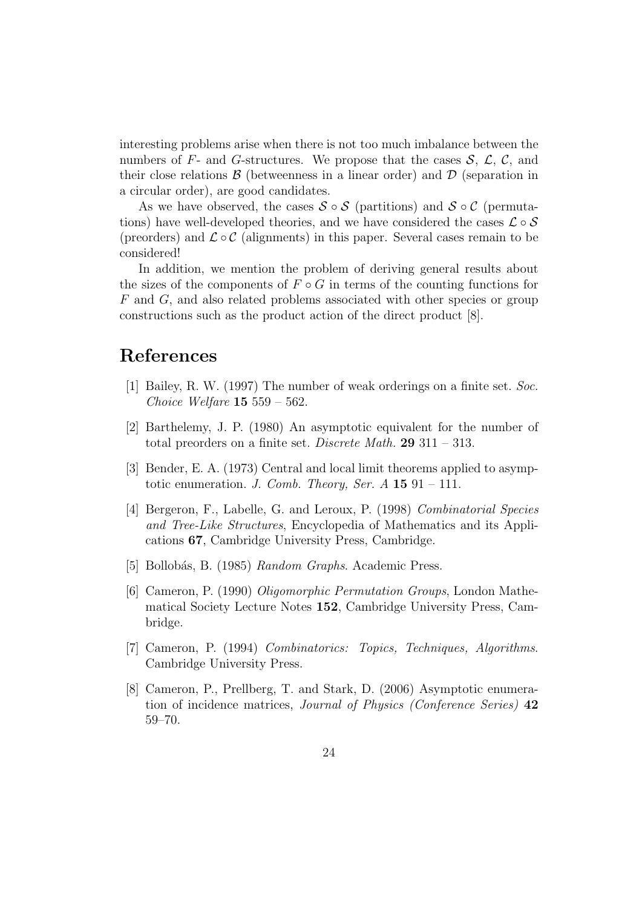interesting problems arise when there is not too much imbalance between the numbers of F- and G-structures. We propose that the cases  $\mathcal{S}, \mathcal{L}, \mathcal{C}$ , and their close relations  $\beta$  (betweenness in a linear order) and  $\mathcal D$  (separation in a circular order), are good candidates.

As we have observed, the cases  $S \circ S$  (partitions) and  $S \circ C$  (permutations) have well-developed theories, and we have considered the cases  $\mathcal{L} \circ \mathcal{S}$ (preorders) and  $\mathcal{L} \circ \mathcal{C}$  (alignments) in this paper. Several cases remain to be considered!

In addition, we mention the problem of deriving general results about the sizes of the components of  $F \circ G$  in terms of the counting functions for F and G, and also related problems associated with other species or group constructions such as the product action of the direct product [8].

## References

- [1] Bailey, R. W. (1997) The number of weak orderings on a finite set. Soc. Choice Welfare  $15\,559 - 562$ .
- [2] Barthelemy, J. P. (1980) An asymptotic equivalent for the number of total preorders on a finite set. Discrete Math. 29 311 – 313.
- [3] Bender, E. A. (1973) Central and local limit theorems applied to asymptotic enumeration. J. Comb. Theory, Ser.  $A$  15 91 – 111.
- [4] Bergeron, F., Labelle, G. and Leroux, P. (1998) Combinatorial Species and Tree-Like Structures, Encyclopedia of Mathematics and its Applications 67, Cambridge University Press, Cambridge.
- [5] Bollobás, B. (1985) Random Graphs. Academic Press.
- [6] Cameron, P. (1990) Oligomorphic Permutation Groups, London Mathematical Society Lecture Notes 152, Cambridge University Press, Cambridge.
- [7] Cameron, P. (1994) Combinatorics: Topics, Techniques, Algorithms. Cambridge University Press.
- [8] Cameron, P., Prellberg, T. and Stark, D. (2006) Asymptotic enumeration of incidence matrices, Journal of Physics (Conference Series) 42 59–70.